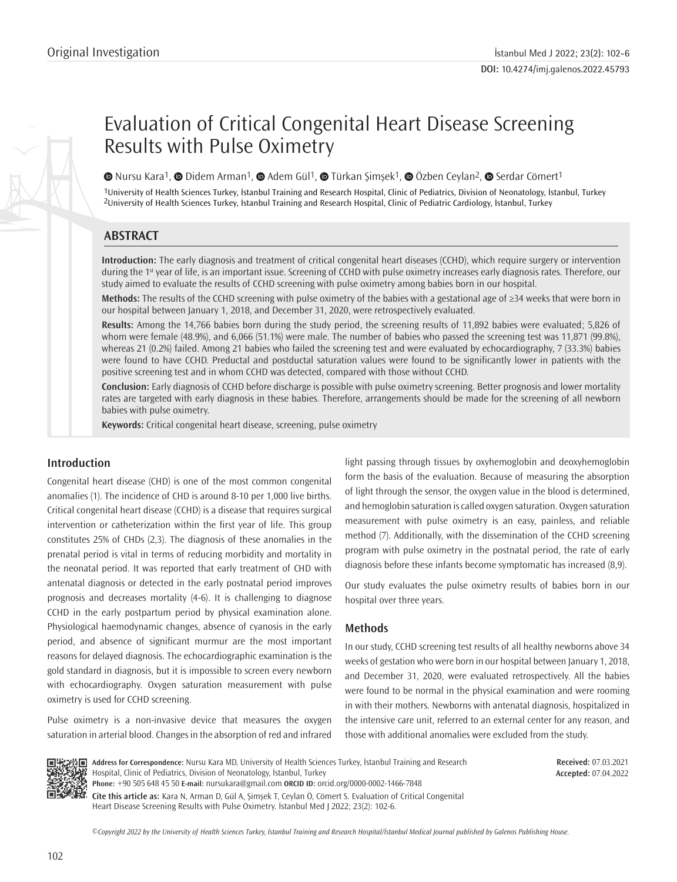# Evaluation of Critical Congenital Heart Disease Screening Results with Pulse Oximetry

 $\bullet$ Nursu Kara<sup>1</sup>,  $\bullet$  Didem Arman<sup>1</sup>,  $\bullet$  Adem Gül<sup>1</sup>,  $\bullet$  Türkan Şimşek<sup>1</sup>,  $\bullet$  Özben Ceylan<sup>2</sup>,  $\bullet$  Serdar Cömert<sup>1</sup>

1University of Health Sciences Turkey, İstanbul Training and Research Hospital, Clinic of Pediatrics, Division of Neonatology, İstanbul, Turkey 2University of Health Sciences Turkey, İstanbul Training and Research Hospital, Clinic of Pediatric Cardiology, İstanbul, Turkey

## **ABSTRACT**

**Introduction:** The early diagnosis and treatment of critical congenital heart diseases (CCHD), which require surgery or intervention during the 1<sup>st</sup> year of life, is an important issue. Screening of CCHD with pulse oximetry increases early diagnosis rates. Therefore, our study aimed to evaluate the results of CCHD screening with pulse oximetry among babies born in our hospital.

**Methods:** The results of the CCHD screening with pulse oximetry of the babies with a gestational age of ≥34 weeks that were born in our hospital between January 1, 2018, and December 31, 2020, were retrospectively evaluated.

**Results:** Among the 14,766 babies born during the study period, the screening results of 11,892 babies were evaluated; 5,826 of whom were female (48.9%), and 6,066 (51.1%) were male. The number of babies who passed the screening test was 11,871 (99.8%), whereas 21 (0.2%) failed. Among 21 babies who failed the screening test and were evaluated by echocardiography, 7 (33.3%) babies were found to have CCHD. Preductal and postductal saturation values were found to be significantly lower in patients with the positive screening test and in whom CCHD was detected, compared with those without CCHD.

**Conclusion:** Early diagnosis of CCHD before discharge is possible with pulse oximetry screening. Better prognosis and lower mortality rates are targeted with early diagnosis in these babies. Therefore, arrangements should be made for the screening of all newborn babies with pulse oximetry.

**Keywords:** Critical congenital heart disease, screening, pulse oximetry

### **Introduction**

Congenital heart disease (CHD) is one of the most common congenital anomalies (1). The incidence of CHD is around 8-10 per 1,000 live births. Critical congenital heart disease (CCHD) is a disease that requires surgical intervention or catheterization within the first year of life. This group constitutes 25% of CHDs (2,3). The diagnosis of these anomalies in the prenatal period is vital in terms of reducing morbidity and mortality in the neonatal period. It was reported that early treatment of CHD with antenatal diagnosis or detected in the early postnatal period improves prognosis and decreases mortality (4-6). It is challenging to diagnose CCHD in the early postpartum period by physical examination alone. Physiological haemodynamic changes, absence of cyanosis in the early period, and absence of significant murmur are the most important reasons for delayed diagnosis. The echocardiographic examination is the gold standard in diagnosis, but it is impossible to screen every newborn with echocardiography. Oxygen saturation measurement with pulse oximetry is used for CCHD screening.

Pulse oximetry is a non-invasive device that measures the oxygen saturation in arterial blood. Changes in the absorption of red and infrared light passing through tissues by oxyhemoglobin and deoxyhemoglobin form the basis of the evaluation. Because of measuring the absorption of light through the sensor, the oxygen value in the blood is determined, and hemoglobin saturation is called oxygen saturation. Oxygen saturation measurement with pulse oximetry is an easy, painless, and reliable method (7). Additionally, with the dissemination of the CCHD screening program with pulse oximetry in the postnatal period, the rate of early diagnosis before these infants become symptomatic has increased (8,9).

Our study evaluates the pulse oximetry results of babies born in our hospital over three years.

#### **Methods**

In our study, CCHD screening test results of all healthy newborns above 34 weeks of gestation who were born in our hospital between January 1, 2018, and December 31, 2020, were evaluated retrospectively. All the babies were found to be normal in the physical examination and were rooming in with their mothers. Newborns with antenatal diagnosis, hospitalized in the intensive care unit, referred to an external center for any reason, and those with additional anomalies were excluded from the study.



**Address for Correspondence:** Nursu Kara MD, University of Health Sciences Turkey, İstanbul Training and Research Hospital, Clinic of Pediatrics, Division of Neonatology, İstanbul, Turkey **Phone:** +90 505 648 45 50 **E-mail:** nursukara@gmail.com **ORCID ID:** orcid.org/0000-0002-1466-7848 **Cite this article as:** Kara N, Arman D, Gül A, Şimşek T, Ceylan Ö, Cömert S. Evaluation of Critical Congenital

Heart Disease Screening Results with Pulse Oximetry. İstanbul Med J 2022; 23(2): 102-6.

**Received:** 07.03.2021 **Accepted:** 07.04.2022

*©*Copyright 2022 by the University of Health Sciences Turkey, İstanbul Training and Research Hospital/İstanbul Medical Journal published by Galenos Publishing House.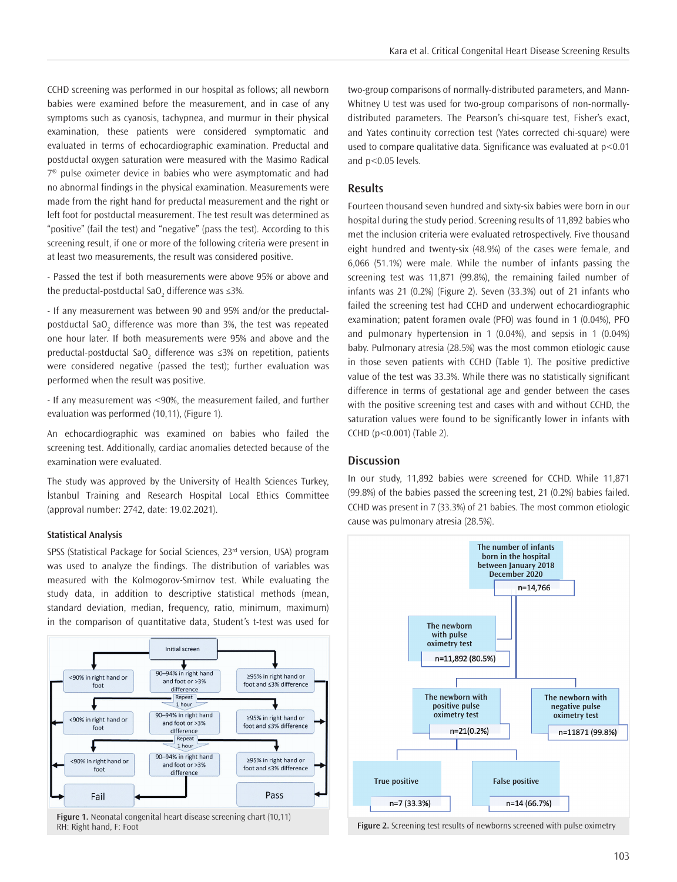CCHD screening was performed in our hospital as follows; all newborn babies were examined before the measurement, and in case of any symptoms such as cyanosis, tachypnea, and murmur in their physical examination, these patients were considered symptomatic and evaluated in terms of echocardiographic examination. Preductal and postductal oxygen saturation were measured with the Masimo Radical 7® pulse oximeter device in babies who were asymptomatic and had no abnormal findings in the physical examination. Measurements were made from the right hand for preductal measurement and the right or left foot for postductal measurement. The test result was determined as "positive" (fail the test) and "negative" (pass the test). According to this screening result, if one or more of the following criteria were present in at least two measurements, the result was considered positive.

- Passed the test if both measurements were above 95% or above and the preductal-postductal SaO $_2$  difference was ≤3%.

- If any measurement was between 90 and 95% and/or the preductalpostductal SaO<sub>2</sub> difference was more than 3%, the test was repeated one hour later. If both measurements were 95% and above and the preductal-postductal SaO<sub>2</sub> difference was ≤3% on repetition, patients were considered negative (passed the test); further evaluation was performed when the result was positive.

- If any measurement was <90%, the measurement failed, and further evaluation was performed (10,11), (Figure 1).

An echocardiographic was examined on babies who failed the screening test. Additionally, cardiac anomalies detected because of the examination were evaluated.

The study was approved by the University of Health Sciences Turkey, İstanbul Training and Research Hospital Local Ethics Committee (approval number: 2742, date: 19.02.2021).

#### **Statistical Analysis**

SPSS (Statistical Package for Social Sciences, 23<sup>rd</sup> version, USA) program was used to analyze the findings. The distribution of variables was measured with the Kolmogorov-Smirnov test. While evaluating the study data, in addition to descriptive statistical methods (mean, standard deviation, median, frequency, ratio, minimum, maximum) in the comparison of quantitative data, Student's t-test was used for



**Figure 1.** Neonatal congenital heart disease screening chart (10,11) RH: Right hand, F: Foot **Figure 2.** Screening test results of newborns screened with pulse oximetry

two-group comparisons of normally-distributed parameters, and Mann-Whitney U test was used for two-group comparisons of non-normallydistributed parameters. The Pearson's chi-square test, Fisher's exact, and Yates continuity correction test (Yates corrected chi-square) were used to compare qualitative data. Significance was evaluated at p<0.01 and p<0.05 levels.

#### **Results**

Fourteen thousand seven hundred and sixty-six babies were born in our hospital during the study period. Screening results of 11,892 babies who met the inclusion criteria were evaluated retrospectively. Five thousand eight hundred and twenty-six (48.9%) of the cases were female, and 6,066 (51.1%) were male. While the number of infants passing the screening test was 11,871 (99.8%), the remaining failed number of infants was 21 (0.2%) (Figure 2). Seven (33.3%) out of 21 infants who failed the screening test had CCHD and underwent echocardiographic examination; patent foramen ovale (PFO) was found in 1 (0.04%), PFO and pulmonary hypertension in 1 (0.04%), and sepsis in 1 (0.04%) baby. Pulmonary atresia (28.5%) was the most common etiologic cause in those seven patients with CCHD (Table 1). The positive predictive value of the test was 33.3%. While there was no statistically significant difference in terms of gestational age and gender between the cases with the positive screening test and cases with and without CCHD, the saturation values were found to be significantly lower in infants with CCHD (p<0.001) (Table 2).

#### **Discussion**

In our study, 11,892 babies were screened for CCHD. While 11,871 (99.8%) of the babies passed the screening test, 21 (0.2%) babies failed. CCHD was present in 7 (33.3%) of 21 babies. The most common etiologic cause was pulmonary atresia (28.5%).

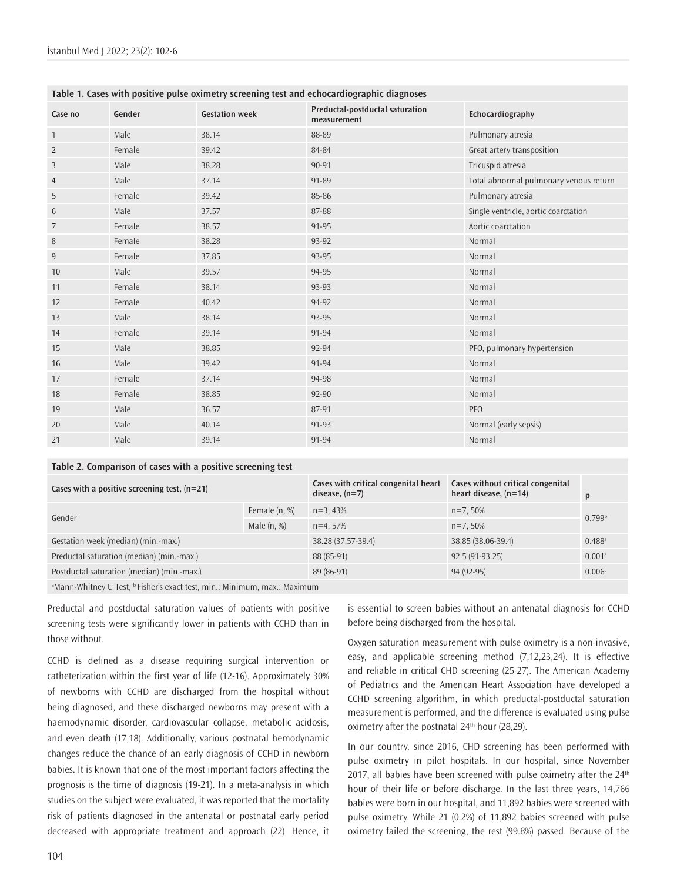| Table 1. Cases with positive pulse oximetry screening test and echocardiographic diagnoses |        |                       |                                                |                                        |  |  |
|--------------------------------------------------------------------------------------------|--------|-----------------------|------------------------------------------------|----------------------------------------|--|--|
| Case no                                                                                    | Gender | <b>Gestation week</b> | Preductal-postductal saturation<br>measurement | Echocardiography                       |  |  |
| $\mathbf{1}$                                                                               | Male   | 38.14                 | 88-89                                          | Pulmonary atresia                      |  |  |
| $\overline{2}$                                                                             | Female | 39.42                 | 84-84                                          | Great artery transposition             |  |  |
| 3                                                                                          | Male   | 38.28                 | 90-91                                          | Tricuspid atresia                      |  |  |
| $\overline{4}$                                                                             | Male   | 37.14                 | 91-89                                          | Total abnormal pulmonary venous return |  |  |
| 5                                                                                          | Female | 39.42                 | 85-86                                          | Pulmonary atresia                      |  |  |
| 6                                                                                          | Male   | 37.57                 | 87-88                                          | Single ventricle, aortic coarctation   |  |  |
| 7                                                                                          | Female | 38.57                 | 91-95                                          | Aortic coarctation                     |  |  |
| 8                                                                                          | Female | 38.28                 | 93-92                                          | Normal                                 |  |  |
| $\overline{9}$                                                                             | Female | 37.85                 | 93-95                                          | Normal                                 |  |  |
| 10                                                                                         | Male   | 39.57                 | 94-95                                          | Normal                                 |  |  |
| 11                                                                                         | Female | 38.14                 | 93-93                                          | Normal                                 |  |  |
| 12                                                                                         | Female | 40.42                 | 94-92                                          | Normal                                 |  |  |
| 13                                                                                         | Male   | 38.14                 | 93-95                                          | Normal                                 |  |  |
| 14                                                                                         | Female | 39.14                 | 91-94                                          | Normal                                 |  |  |
| 15                                                                                         | Male   | 38.85                 | 92-94                                          | PFO, pulmonary hypertension            |  |  |
| 16                                                                                         | Male   | 39.42                 | 91-94                                          | Normal                                 |  |  |
| 17                                                                                         | Female | 37.14                 | 94-98                                          | Normal                                 |  |  |
| 18                                                                                         | Female | 38.85                 | 92-90                                          | Normal                                 |  |  |
| 19                                                                                         | Male   | 36.57                 | 87-91                                          | <b>PFO</b>                             |  |  |
| 20                                                                                         | Male   | 40.14                 | 91-93                                          | Normal (early sepsis)                  |  |  |
| 21                                                                                         | Male   | 39.14                 | 91-94                                          | Normal                                 |  |  |

#### **Table 1. Cases with positive pulse oximetry screening test and echocardiographic diagnoses**

#### **Table 2. Comparison of cases with a positive screening test**

| Cases with a positive screening test, $(n=21)$                                                                                                                                                                                             |               | Cases with critical congenital heart<br>disease, $(n=7)$ | Cases without critical congenital<br>heart disease, $(n=14)$ | p                    |  |  |  |
|--------------------------------------------------------------------------------------------------------------------------------------------------------------------------------------------------------------------------------------------|---------------|----------------------------------------------------------|--------------------------------------------------------------|----------------------|--|--|--|
|                                                                                                                                                                                                                                            | Female (n, %) | $n=3.43%$                                                | $n=7,50%$                                                    | 0.799 <sup>b</sup>   |  |  |  |
| Gender                                                                                                                                                                                                                                     | Male $(n, %)$ | $n=4.57%$                                                | $n=7.50\%$                                                   |                      |  |  |  |
| Gestation week (median) (min.-max.)                                                                                                                                                                                                        |               | 38.28 (37.57-39.4)                                       | 38.85 (38.06-39.4)                                           | $0.488$ <sup>a</sup> |  |  |  |
| Preductal saturation (median) (min.-max.)                                                                                                                                                                                                  |               | 88 (85-91)                                               | $92.5(91-93.25)$                                             | 0.001 <sup>a</sup>   |  |  |  |
| Postductal saturation (median) (min.-max.)                                                                                                                                                                                                 |               | 89 (86-91)                                               | 94 (92-95)                                                   | 0.006a               |  |  |  |
| the contract of the state of the contract of the contract of the contract of the contract of the contract of the contract of the contract of the contract of the contract of the contract of the contract of the contract of t<br>$\cdots$ |               |                                                          |                                                              |                      |  |  |  |

<sup>a</sup>Mann-Whitney U Test, <sup>b</sup> Fisher's exact test, min.: Minimum, max.: Maximum

Preductal and postductal saturation values of patients with positive screening tests were significantly lower in patients with CCHD than in those without.

CCHD is defined as a disease requiring surgical intervention or catheterization within the first year of life (12-16). Approximately 30% of newborns with CCHD are discharged from the hospital without being diagnosed, and these discharged newborns may present with a haemodynamic disorder, cardiovascular collapse, metabolic acidosis, and even death (17,18). Additionally, various postnatal hemodynamic changes reduce the chance of an early diagnosis of CCHD in newborn babies. It is known that one of the most important factors affecting the prognosis is the time of diagnosis (19-21). In a meta-analysis in which studies on the subject were evaluated, it was reported that the mortality risk of patients diagnosed in the antenatal or postnatal early period decreased with appropriate treatment and approach (22). Hence, it

is essential to screen babies without an antenatal diagnosis for CCHD before being discharged from the hospital.

Oxygen saturation measurement with pulse oximetry is a non-invasive, easy, and applicable screening method (7,12,23,24). It is effective and reliable in critical CHD screening (25-27). The American Academy of Pediatrics and the American Heart Association have developed a CCHD screening algorithm, in which preductal-postductal saturation measurement is performed, and the difference is evaluated using pulse oximetry after the postnatal 24<sup>th</sup> hour (28,29).

In our country, since 2016, CHD screening has been performed with pulse oximetry in pilot hospitals. In our hospital, since November 2017, all babies have been screened with pulse oximetry after the 24<sup>th</sup> hour of their life or before discharge. In the last three years, 14,766 babies were born in our hospital, and 11,892 babies were screened with pulse oximetry. While 21 (0.2%) of 11,892 babies screened with pulse oximetry failed the screening, the rest (99.8%) passed. Because of the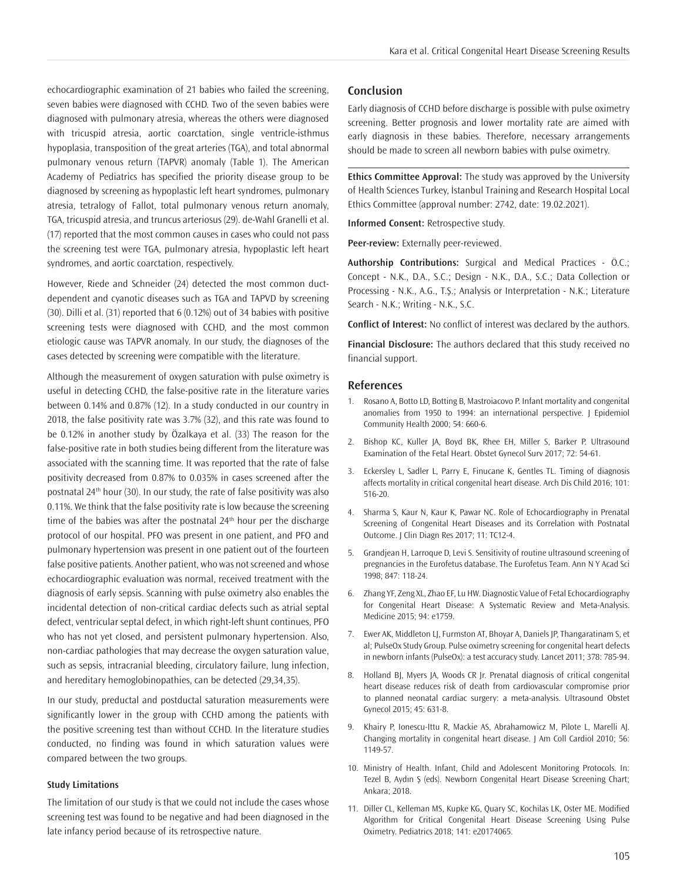echocardiographic examination of 21 babies who failed the screening, seven babies were diagnosed with CCHD. Two of the seven babies were diagnosed with pulmonary atresia, whereas the others were diagnosed with tricuspid atresia, aortic coarctation, single ventricle-isthmus hypoplasia, transposition of the great arteries (TGA), and total abnormal pulmonary venous return (TAPVR) anomaly (Table 1). The American Academy of Pediatrics has specified the priority disease group to be diagnosed by screening as hypoplastic left heart syndromes, pulmonary atresia, tetralogy of Fallot, total pulmonary venous return anomaly, TGA, tricuspid atresia, and truncus arteriosus (29). de-Wahl Granelli et al. (17) reported that the most common causes in cases who could not pass the screening test were TGA, pulmonary atresia, hypoplastic left heart syndromes, and aortic coarctation, respectively.

However, Riede and Schneider (24) detected the most common ductdependent and cyanotic diseases such as TGA and TAPVD by screening (30). Dilli et al. (31) reported that 6 (0.12%) out of 34 babies with positive screening tests were diagnosed with CCHD, and the most common etiologic cause was TAPVR anomaly. In our study, the diagnoses of the cases detected by screening were compatible with the literature.

Although the measurement of oxygen saturation with pulse oximetry is useful in detecting CCHD, the false-positive rate in the literature varies between 0.14% and 0.87% (12). In a study conducted in our country in 2018, the false positivity rate was 3.7% (32), and this rate was found to be 0.12% in another study by Özalkaya et al. (33) The reason for the false-positive rate in both studies being different from the literature was associated with the scanning time. It was reported that the rate of false positivity decreased from 0.87% to 0.035% in cases screened after the postnatal 24<sup>th</sup> hour (30). In our study, the rate of false positivity was also 0.11%. We think that the false positivity rate is low because the screening time of the babies was after the postnatal  $24<sup>th</sup>$  hour per the discharge protocol of our hospital. PFO was present in one patient, and PFO and pulmonary hypertension was present in one patient out of the fourteen false positive patients. Another patient, who was not screened and whose echocardiographic evaluation was normal, received treatment with the diagnosis of early sepsis. Scanning with pulse oximetry also enables the incidental detection of non-critical cardiac defects such as atrial septal defect, ventricular septal defect, in which right-left shunt continues, PFO who has not yet closed, and persistent pulmonary hypertension. Also, non-cardiac pathologies that may decrease the oxygen saturation value, such as sepsis, intracranial bleeding, circulatory failure, lung infection, and hereditary hemoglobinopathies, can be detected (29,34,35).

In our study, preductal and postductal saturation measurements were significantly lower in the group with CCHD among the patients with the positive screening test than without CCHD. In the literature studies conducted, no finding was found in which saturation values were compared between the two groups.

#### **Study Limitations**

The limitation of our study is that we could not include the cases whose screening test was found to be negative and had been diagnosed in the late infancy period because of its retrospective nature.

#### **Conclusion**

Early diagnosis of CCHD before discharge is possible with pulse oximetry screening. Better prognosis and lower mortality rate are aimed with early diagnosis in these babies. Therefore, necessary arrangements should be made to screen all newborn babies with pulse oximetry.

**Ethics Committee Approval:** The study was approved by the University of Health Sciences Turkey, İstanbul Training and Research Hospital Local Ethics Committee (approval number: 2742, date: 19.02.2021).

**Informed Consent:** Retrospective study.

**Peer-review:** Externally peer-reviewed.

**Authorship Contributions:** Surgical and Medical Practices - Ö.C.; Concept - N.K., D.A., S.C.; Design - N.K., D.A., S.C.; Data Collection or Processing - N.K., A.G., T.Ş.; Analysis or Interpretation - N.K.; Literature Search - N.K.; Writing - N.K., S.C.

**Conflict of Interest:** No conflict of interest was declared by the authors.

**Financial Disclosure:** The authors declared that this study received no financial support.

#### **References**

- 1. Rosano A, Botto LD, Botting B, Mastroiacovo P. Infant mortality and congenital anomalies from 1950 to 1994: an international perspective. J Epidemiol Community Health 2000; 54: 660-6.
- 2. Bishop KC, Kuller JA, Boyd BK, Rhee EH, Miller S, Barker P. Ultrasound Examination of the Fetal Heart. Obstet Gynecol Surv 2017; 72: 54-61.
- 3. Eckersley L, Sadler L, Parry E, Finucane K, Gentles TL. Timing of diagnosis affects mortality in critical congenital heart disease. Arch Dis Child 2016; 101: 516-20.
- 4. Sharma S, Kaur N, Kaur K, Pawar NC. Role of Echocardiography in Prenatal Screening of Congenital Heart Diseases and its Correlation with Postnatal Outcome. J Clin Diagn Res 2017; 11: TC12-4.
- 5. Grandjean H, Larroque D, Levi S. Sensitivity of routine ultrasound screening of pregnancies in the Eurofetus database. The Eurofetus Team. Ann N Y Acad Sci 1998; 847: 118-24.
- 6. Zhang YF, Zeng XL, Zhao EF, Lu HW. Diagnostic Value of Fetal Echocardiography for Congenital Heart Disease: A Systematic Review and Meta-Analysis. Medicine 2015; 94: e1759.
- 7. Ewer AK, Middleton LJ, Furmston AT, Bhoyar A, Daniels JP, Thangaratinam S, et al; PulseOx Study Group. Pulse oximetry screening for congenital heart defects in newborn infants (PulseOx): a test accuracy study. Lancet 2011; 378: 785-94.
- 8. Holland BJ, Myers JA, Woods CR Jr. Prenatal diagnosis of critical congenital heart disease reduces risk of death from cardiovascular compromise prior to planned neonatal cardiac surgery: a meta-analysis. Ultrasound Obstet Gynecol 2015; 45: 631-8.
- 9. Khairy P, Ionescu-Ittu R, Mackie AS, Abrahamowicz M, Pilote L, Marelli AJ. Changing mortality in congenital heart disease. J Am Coll Cardiol 2010; 56: 1149-57.
- 10. Ministry of Health. Infant, Child and Adolescent Monitoring Protocols. In: Tezel B, Aydın Ş (eds). Newborn Congenital Heart Disease Screening Chart; Ankara; 2018.
- 11. Diller CL, Kelleman MS, Kupke KG, Quary SC, Kochilas LK, Oster ME. Modified Algorithm for Critical Congenital Heart Disease Screening Using Pulse Oximetry. Pediatrics 2018; 141: e20174065.